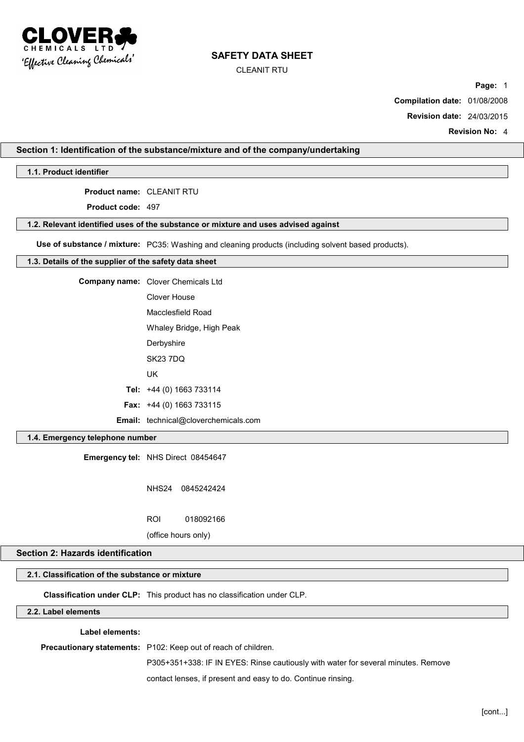

CLEANIT RTU

**Page:** 1

**Compilation date:** 01/08/2008

**Revision date:** 24/03/2015

**Revision No:** 4

### **Section 1: Identification of the substance/mixture and of the company/undertaking**

**1.1. Product identifier**

**Product name:** CLEANIT RTU

**Product code:** 497

#### **1.2. Relevant identified uses of the substance or mixture and uses advised against**

**Use of substance / mixture:** PC35: Washing and cleaning products (including solvent based products).

### **1.3. Details of the supplier of the safety data sheet**

| Company name: Clover Chemicals Ltd          |
|---------------------------------------------|
| Clover House                                |
| Macclesfield Road                           |
| Whaley Bridge, High Peak                    |
| Derbyshire                                  |
| <b>SK23 7DQ</b>                             |
| UK                                          |
| Tel: $+44$ (0) 1663 733114                  |
| <b>Fax:</b> $+44$ (0) 1663 733115           |
| <b>Email:</b> technical@cloverchemicals.com |

### **1.4. Emergency telephone number**

**Emergency tel:** NHS Direct 08454647

NHS24 0845242424

ROI 018092166

(office hours only)

# **Section 2: Hazards identification**

# **2.1. Classification of the substance or mixture**

**Classification under CLP:** This product has no classification under CLP.

# **2.2. Label elements**

**Label elements:**

**Precautionary statements:** P102: Keep out of reach of children.

P305+351+338: IF IN EYES: Rinse cautiously with water for several minutes. Remove

contact lenses, if present and easy to do. Continue rinsing.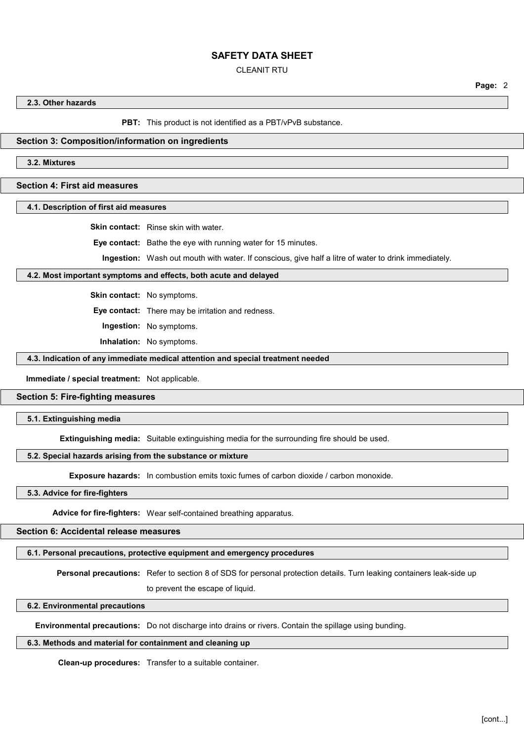### CLEANIT RTU

**2.3. Other hazards**

**PBT:** This product is not identified as a PBT/vPvB substance.

### **Section 3: Composition/information on ingredients**

**3.2. Mixtures**

### **Section 4: First aid measures**

### **4.1. Description of first aid measures**

**Skin contact:** Rinse skin with water.

**Eye contact:** Bathe the eye with running water for 15 minutes.

**Ingestion:** Wash out mouth with water. If conscious, give half a litre of water to drink immediately.

### **4.2. Most important symptoms and effects, both acute and delayed**

**Skin contact:** No symptoms.

**Eye contact:** There may be irritation and redness.

**Ingestion:** No symptoms.

**Inhalation:** No symptoms.

#### **4.3. Indication of any immediate medical attention and special treatment needed**

**Immediate / special treatment:** Not applicable.

#### **Section 5: Fire-fighting measures**

**5.1. Extinguishing media**

**Extinguishing media:** Suitable extinguishing media for the surrounding fire should be used.

### **5.2. Special hazards arising from the substance or mixture**

**Exposure hazards:** In combustion emits toxic fumes of carbon dioxide / carbon monoxide.

**5.3. Advice for fire-fighters**

**Advice for fire-fighters:** Wear self-contained breathing apparatus.

#### **Section 6: Accidental release measures**

## **6.1. Personal precautions, protective equipment and emergency procedures**

**Personal precautions:** Refer to section 8 of SDS for personal protection details. Turn leaking containers leak-side up

to prevent the escape of liquid.

### **6.2. Environmental precautions**

**Environmental precautions:** Do not discharge into drains or rivers. Contain the spillage using bunding.

### **6.3. Methods and material for containment and cleaning up**

**Clean-up procedures:** Transfer to a suitable container.

**Page:** 2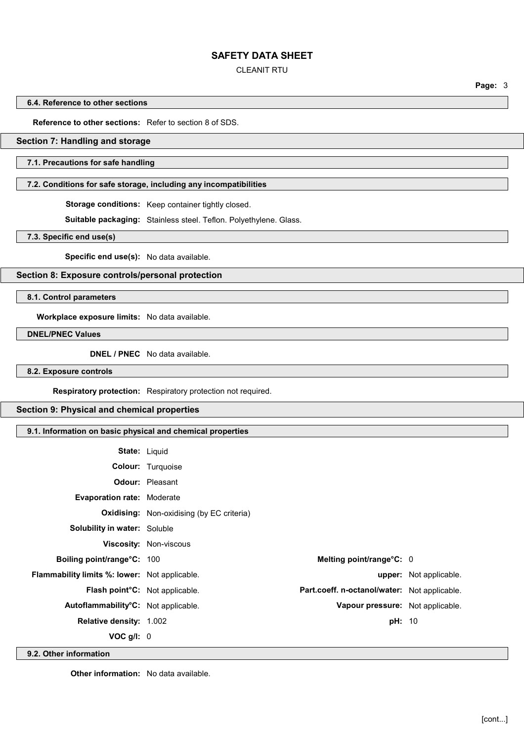### CLEANIT RTU

**Page:** 3

#### **6.4. Reference to other sections**

**Reference to other sections:** Refer to section 8 of SDS.

### **Section 7: Handling and storage**

### **7.1. Precautions for safe handling**

### **7.2. Conditions for safe storage, including any incompatibilities**

**Storage conditions:** Keep container tightly closed.

**Suitable packaging:** Stainless steel. Teflon. Polyethylene. Glass.

**7.3. Specific end use(s)**

**Specific end use(s):** No data available.

**Section 8: Exposure controls/personal protection**

**8.1. Control parameters**

**Workplace exposure limits:** No data available.

**DNEL/PNEC Values**

**DNEL / PNEC** No data available.

**8.2. Exposure controls**

**Respiratory protection:** Respiratory protection not required.

### **Section 9: Physical and chemical properties**

# **9.1. Information on basic physical and chemical properties**

| <b>State: Liquid</b>                                 |                                                  |                                                     |                               |
|------------------------------------------------------|--------------------------------------------------|-----------------------------------------------------|-------------------------------|
|                                                      | <b>Colour:</b> Turquoise                         |                                                     |                               |
|                                                      | <b>Odour:</b> Pleasant                           |                                                     |                               |
| <b>Evaporation rate: Moderate</b>                    |                                                  |                                                     |                               |
|                                                      | <b>Oxidising:</b> Non-oxidising (by EC criteria) |                                                     |                               |
| <b>Solubility in water: Soluble</b>                  |                                                  |                                                     |                               |
|                                                      | <b>Viscosity: Non-viscous</b>                    |                                                     |                               |
| Boiling point/range°C: 100                           |                                                  | Melting point/range°C: 0                            |                               |
| <b>Flammability limits %: lower:</b> Not applicable. |                                                  |                                                     | <b>upper:</b> Not applicable. |
| <b>Flash point<sup>°</sup>C:</b> Not applicable.     |                                                  | <b>Part.coeff. n-octanol/water:</b> Not applicable. |                               |
| Autoflammability <sup>°</sup> C: Not applicable.     |                                                  | Vapour pressure: Not applicable.                    |                               |
| <b>Relative density: 1.002</b>                       |                                                  | <b>pH: 10</b>                                       |                               |
| $VOC$ g/l: $0$                                       |                                                  |                                                     |                               |

**9.2. Other information**

**Other information:** No data available.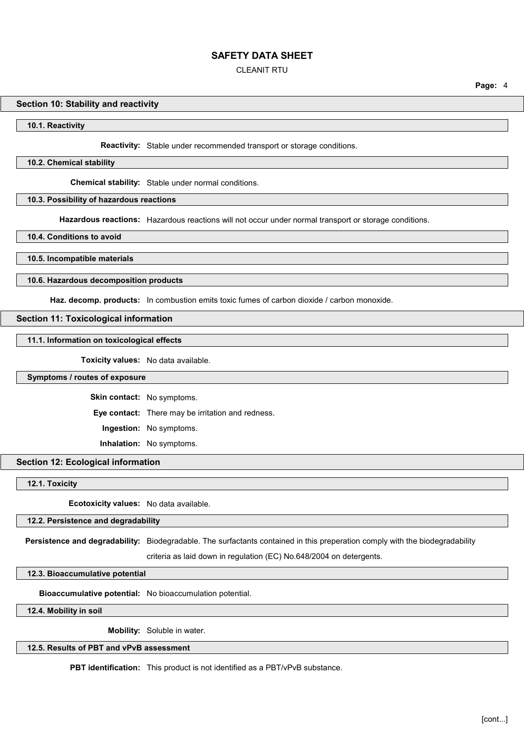### CLEANIT RTU

#### **Section 10: Stability and reactivity**

**10.1. Reactivity**

**Reactivity:** Stable under recommended transport or storage conditions.

**10.2. Chemical stability**

**Chemical stability:** Stable under normal conditions.

#### **10.3. Possibility of hazardous reactions**

**Hazardous reactions:** Hazardous reactions will not occur under normal transport or storage conditions.

**10.4. Conditions to avoid**

**10.5. Incompatible materials**

#### **10.6. Hazardous decomposition products**

**Haz. decomp. products:** In combustion emits toxic fumes of carbon dioxide / carbon monoxide.

#### **Section 11: Toxicological information**

### **11.1. Information on toxicological effects**

**Toxicity values:** No data available.

#### **Symptoms / routes of exposure**

**Skin contact:** No symptoms.

**Eye contact:** There may be irritation and redness.

**Ingestion:** No symptoms.

**Inhalation:** No symptoms.

# **Section 12: Ecological information**

**12.1. Toxicity**

**Ecotoxicity values:** No data available.

### **12.2. Persistence and degradability**

**Persistence and degradability:** Biodegradable. The surfactants contained in this preperation comply with the biodegradability

criteria as laid down in regulation (EC) No.648/2004 on detergents.

**12.3. Bioaccumulative potential**

**Bioaccumulative potential:** No bioaccumulation potential.

**12.4. Mobility in soil**

**Mobility:** Soluble in water.

**12.5. Results of PBT and vPvB assessment**

**PBT identification:** This product is not identified as a PBT/vPvB substance.